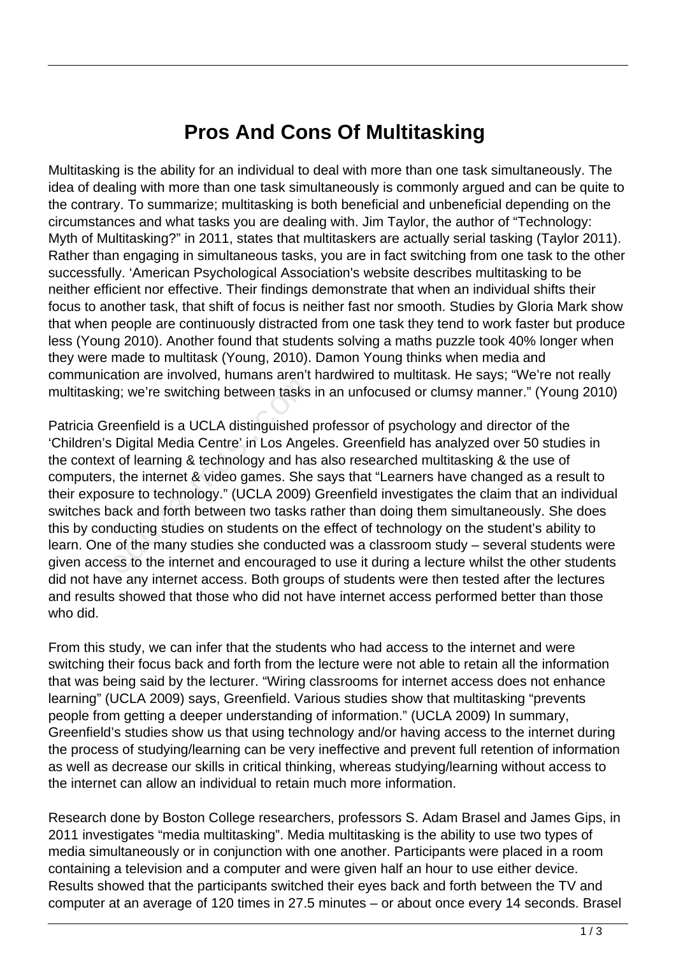## **Pros And Cons Of Multitasking**

Multitasking is the ability for an individual to deal with more than one task simultaneously. The idea of dealing with more than one task simultaneously is commonly argued and can be quite to the contrary. To summarize; multitasking is both beneficial and unbeneficial depending on the circumstances and what tasks you are dealing with. Jim Taylor, the author of "Technology: Myth of Multitasking?" in 2011, states that multitaskers are actually serial tasking (Taylor 2011). Rather than engaging in simultaneous tasks, you are in fact switching from one task to the other successfully. 'American Psychological Association's website describes multitasking to be neither efficient nor effective. Their findings demonstrate that when an individual shifts their focus to another task, that shift of focus is neither fast nor smooth. Studies by Gloria Mark show that when people are continuously distracted from one task they tend to work faster but produce less (Young 2010). Another found that students solving a maths puzzle took 40% longer when they were made to multitask (Young, 2010). Damon Young thinks when media and communication are involved, humans aren't hardwired to multitask. He says; "We're not really multitasking; we're switching between tasks in an unfocused or clumsy manner." (Young 2010)

Patricia Greenfield is a UCLA distinguished professor of psychology and director of the 'Children's Digital Media Centre' in Los Angeles. Greenfield has analyzed over 50 studies in the context of learning & technology and has also researched multitasking & the use of computers, the internet & video games. She says that "Learners have changed as a result to their exposure to technology." (UCLA 2009) Greenfield investigates the claim that an individual switches back and forth between two tasks rather than doing them simultaneously. She does this by conducting studies on students on the effect of technology on the student's ability to learn. One of the many studies she conducted was a classroom study – several students were given access to the internet and encouraged to use it during a lecture whilst the other students did not have any internet access. Both groups of students were then tested after the lectures and results showed that those who did not have internet access performed better than those who did. g; we're switching between tasks<br>reenfield is a UCLA distinguished<br>Digital Media Centre' in Los Anger<br>t of learning & technology and has<br>t of learning & technology and has<br>sure to technology." (UCLA 2009)<br>ack and forth bet

From this study, we can infer that the students who had access to the internet and were switching their focus back and forth from the lecture were not able to retain all the information that was being said by the lecturer. "Wiring classrooms for internet access does not enhance learning" (UCLA 2009) says, Greenfield. Various studies show that multitasking "prevents people from getting a deeper understanding of information." (UCLA 2009) In summary, Greenfield's studies show us that using technology and/or having access to the internet during the process of studying/learning can be very ineffective and prevent full retention of information as well as decrease our skills in critical thinking, whereas studying/learning without access to the internet can allow an individual to retain much more information.

Research done by Boston College researchers, professors S. Adam Brasel and James Gips, in 2011 investigates "media multitasking". Media multitasking is the ability to use two types of media simultaneously or in conjunction with one another. Participants were placed in a room containing a television and a computer and were given half an hour to use either device. Results showed that the participants switched their eyes back and forth between the TV and computer at an average of 120 times in 27.5 minutes – or about once every 14 seconds. Brasel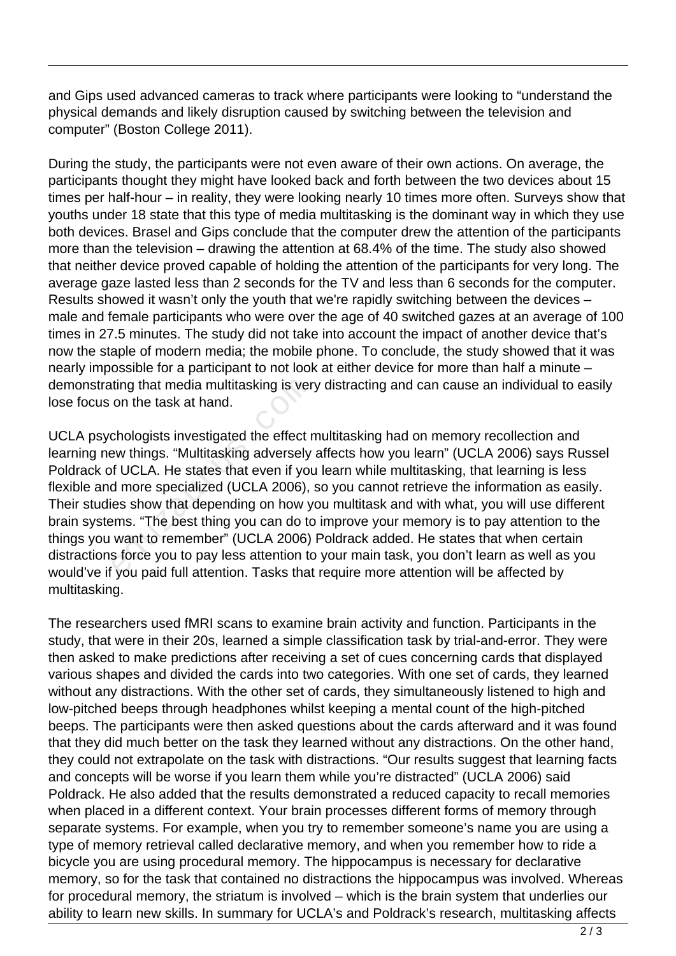and Gips used advanced cameras to track where participants were looking to "understand the physical demands and likely disruption caused by switching between the television and computer" (Boston College 2011).

During the study, the participants were not even aware of their own actions. On average, the participants thought they might have looked back and forth between the two devices about 15 times per half-hour – in reality, they were looking nearly 10 times more often. Surveys show that youths under 18 state that this type of media multitasking is the dominant way in which they use both devices. Brasel and Gips conclude that the computer drew the attention of the participants more than the television – drawing the attention at 68.4% of the time. The study also showed that neither device proved capable of holding the attention of the participants for very long. The average gaze lasted less than 2 seconds for the TV and less than 6 seconds for the computer. Results showed it wasn't only the youth that we're rapidly switching between the devices – male and female participants who were over the age of 40 switched gazes at an average of 100 times in 27.5 minutes. The study did not take into account the impact of another device that's now the staple of modern media; the mobile phone. To conclude, the study showed that it was nearly impossible for a participant to not look at either device for more than half a minute – demonstrating that media multitasking is very distracting and can cause an individual to easily lose focus on the task at hand.

UCLA psychologists investigated the effect multitasking had on memory recollection and learning new things. "Multitasking adversely affects how you learn" (UCLA 2006) says Russel Poldrack of UCLA. He states that even if you learn while multitasking, that learning is less flexible and more specialized (UCLA 2006), so you cannot retrieve the information as easily. Their studies show that depending on how you multitask and with what, you will use different brain systems. "The best thing you can do to improve your memory is to pay attention to the things you want to remember" (UCLA 2006) Poldrack added. He states that when certain distractions force you to pay less attention to your main task, you don't learn as well as you would've if you paid full attention. Tasks that require more attention will be affected by multitasking. ting that media multitasking is ver<br>on the task at hand.<br>chologists investigated the effect r<br>ew things. "Multitasking adversely<br>if UCLA. He states that even if you<br>d more specialized (UCLA 2006),<br>es show that depending on

The researchers used fMRI scans to examine brain activity and function. Participants in the study, that were in their 20s, learned a simple classification task by trial-and-error. They were then asked to make predictions after receiving a set of cues concerning cards that displayed various shapes and divided the cards into two categories. With one set of cards, they learned without any distractions. With the other set of cards, they simultaneously listened to high and low-pitched beeps through headphones whilst keeping a mental count of the high-pitched beeps. The participants were then asked questions about the cards afterward and it was found that they did much better on the task they learned without any distractions. On the other hand, they could not extrapolate on the task with distractions. "Our results suggest that learning facts and concepts will be worse if you learn them while you're distracted" (UCLA 2006) said Poldrack. He also added that the results demonstrated a reduced capacity to recall memories when placed in a different context. Your brain processes different forms of memory through separate systems. For example, when you try to remember someone's name you are using a type of memory retrieval called declarative memory, and when you remember how to ride a bicycle you are using procedural memory. The hippocampus is necessary for declarative memory, so for the task that contained no distractions the hippocampus was involved. Whereas for procedural memory, the striatum is involved – which is the brain system that underlies our ability to learn new skills. In summary for UCLA's and Poldrack's research, multitasking affects